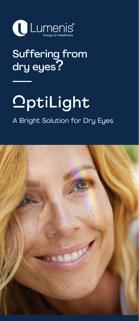

### Suffering from dry eyes?

# OptiLight

#### A Bright Solution for Dry Eyes

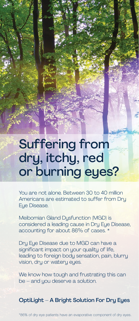# Suffering from dry, itchy, red or burning eyes?

You are not alone. Between 30 to 40 million Americans are estimated to suffer from Dry Eye Disease.

Meibomian Gland Dysfunction (MGD) is considered a leading cause in Dry Eye Disease, accounting for about 86% of cases. \*

Dry Eye Disease due to MGD can have a significant impact on your quality of life, leading to foreign body sensation, pain, blurry vision, dry or watery eyes.

We know how tough and frustrating this can be – and you deserve a solution.

OptiLight – A Bright Solution For Dry Eyes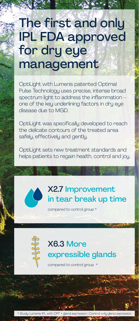### The first and only IPL FDA approved for dry eye management

OptiLight with Lumenis patented Optimal Pulse Technology uses precise, intense broad spectrum light to address the inflammation – one of the key underlining factors in dry eye disease due to MGD.

OptiLight was specifically developed to reach the delicate contours of the treated area safely, effectively and gently.

OptiLight sets new treatment standards and helps patients to regain health, control and joy.



compared to control group \*



#### X6.3 More expressible glands

compared to control group \*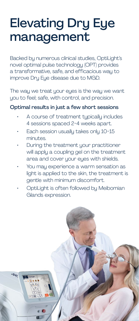# Elevating Dry Eye management

Backed by numerous clinical studies, OptiLight's novel optimal pulse technology (OPT) provides a transformative, safe, and efficacious way to improve Dry Eye disease due to MGD.

The way we treat your eyes is the way we want you to feel; safe, with control, and precision.

#### Optimal results in just a few short sessions

- A course of treatment typically includes 4 sessions spaced 2-4 weeks apart.
- Each session usually takes only 10-15 minutes.
- During the treatment your practitioner will apply a coupling gel on the treatment area and cover your eyes with shields.
- You may experience a warm sensation as light is applied to the skin, the treatment is gentle with minimum discomfort.
- OptiLight is often followed by Meibomian Glands expression.

**SEG**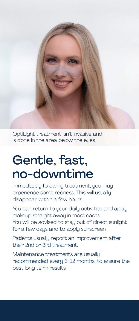OptiLight treatment isn't invasive and is done in the area below the eues

### Gentle, fast, no-downtime

Immediately following treatment, you may experience some redness. This will usually disappear within a few hours.

You can return to your daily activities and apply makeup straight away in most cases. You will be advised to stay out of direct sunlight for a few days and to apply sunscreen.

Patients usually report an improvement after their 2nd or 3rd treatment.

Maintenance treatments are usually recommended every 6-12 months, to ensure the best long term results.